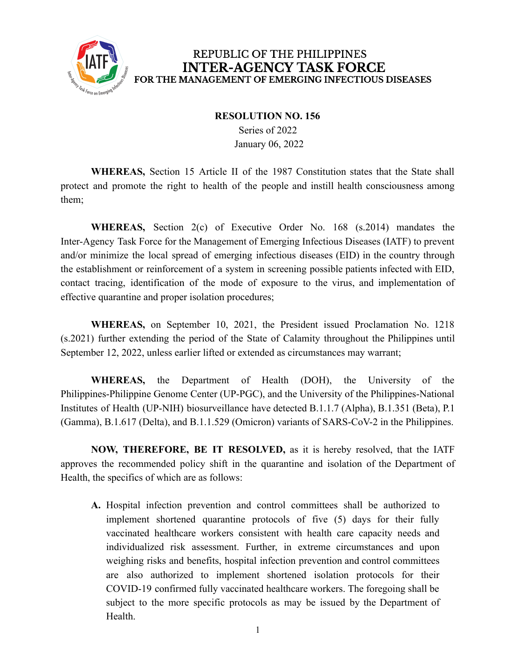

## REPUBLIC OF THE PHILIPPINES **INTER-AGENCY TASK FORCE** FOR THE MANAGEMENT OF EMERGING INFECTIOUS DISEASES

## **RESOLUTION NO. 156**

Series of 2022 January 06, 2022

**WHEREAS,** Section 15 Article II of the 1987 Constitution states that the State shall protect and promote the right to health of the people and instill health consciousness among them;

**WHEREAS,** Section 2(c) of Executive Order No. 168 (s.2014) mandates the Inter-Agency Task Force for the Management of Emerging Infectious Diseases (IATF) to prevent and/or minimize the local spread of emerging infectious diseases (EID) in the country through the establishment or reinforcement of a system in screening possible patients infected with EID, contact tracing, identification of the mode of exposure to the virus, and implementation of effective quarantine and proper isolation procedures;

**WHEREAS,** on September 10, 2021, the President issued Proclamation No. 1218 (s.2021) further extending the period of the State of Calamity throughout the Philippines until September 12, 2022, unless earlier lifted or extended as circumstances may warrant;

**WHEREAS,** the Department of Health (DOH), the University of the Philippines-Philippine Genome Center (UP-PGC), and the University of the Philippines-National Institutes of Health (UP-NIH) biosurveillance have detected B.1.1.7 (Alpha), B.1.351 (Beta), P.1 (Gamma), B.1.617 (Delta), and B.1.1.529 (Omicron) variants of SARS-CoV-2 in the Philippines.

**NOW, THEREFORE, BE IT RESOLVED,** as it is hereby resolved, that the IATF approves the recommended policy shift in the quarantine and isolation of the Department of Health, the specifics of which are as follows:

**A.** Hospital infection prevention and control committees shall be authorized to implement shortened quarantine protocols of five (5) days for their fully vaccinated healthcare workers consistent with health care capacity needs and individualized risk assessment. Further, in extreme circumstances and upon weighing risks and benefits, hospital infection prevention and control committees are also authorized to implement shortened isolation protocols for their COVID-19 confirmed fully vaccinated healthcare workers. The foregoing shall be subject to the more specific protocols as may be issued by the Department of **Health**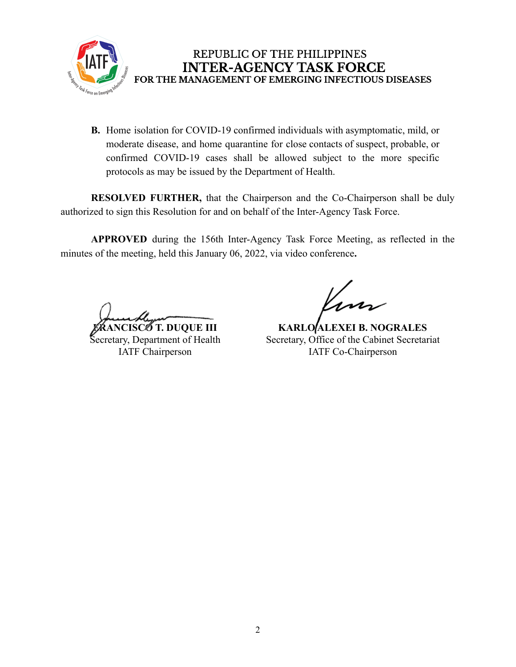

## REPUBLIC OF THE PHILIPPINES **INTER-AGENCY TASK FORCE** FOR THE MANAGEMENT OF EMERGING INFECTIOUS DISEASES

**B.** Home isolation for COVID-19 confirmed individuals with asymptomatic, mild, or moderate disease, and home quarantine for close contacts of suspect, probable, or confirmed COVID-19 cases shall be allowed subject to the more specific protocols as may be issued by the Department of Health.

**RESOLVED FURTHER,** that the Chairperson and the Co-Chairperson shall be duly authorized to sign this Resolution for and on behalf of the Inter-Agency Task Force.

**APPROVED** during the 156th Inter-Agency Task Force Meeting, as reflected in the minutes of the meeting, held this January 06, 2022, via video conference**.**

**FRANCISCO T. DUQUE III** Secretary, Department of Health IATF Chairperson

**KARLO ALEXEI B. NOGRALES** Secretary, Office of the Cabinet Secretariat IATF Co-Chairperson